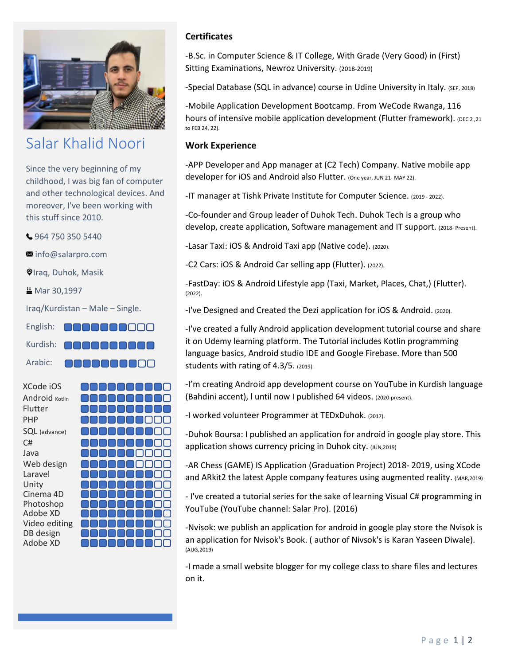

## Salar Khalid Noori

Since the very beginning of my childhood, I was big fan of computer and other technological devices. And moreover, I've been working with this stuff since 2010.

964 750 350 5440

■ [info@salarpro.com](mailto:info@salarpro.com)

**Olraq, Duhok, Masik** 

₩ Mar 30,1997

Iraq/Kurdistan – Male – Single.

Kurdish: 00000000

NANANA

Arabic:

| XCode iOS      |                        |
|----------------|------------------------|
| Android Kotlin |                        |
| Flutter        |                        |
| PHP            |                        |
| SQL (advance)  |                        |
| C#             |                        |
| Java           | <b>ANDIAN MEN</b><br>I |
| Web design     | .                      |
| Laravel        |                        |
| Unity          |                        |
| Cinema 4D      |                        |
| Photoshop      |                        |
| Adobe XD       |                        |
| Video editing  |                        |
| DB design      |                        |
| Adobe XD       |                        |

## **Certificates**

-B.Sc. in Computer Science & IT College, With Grade (Very Good) in (First) Sitting Examinations, Newroz University. (2018-2019)

-Special Database (SQL in advance) course in Udine University in Italy. (SEP, 2018)

-Mobile Application Development Bootcamp. From WeCode Rwanga, 116 hours of intensive mobile application development (Flutter framework). (DEC 2,21 to FEB 24, 22).

## **Work Experience**

-APP Developer and App manager at (C2 Tech) Company. Native mobile app developer for iOS and Android also Flutter. (One year, JUN 21-MAY 22).

-IT manager at Tishk Private Institute for Computer Science. (2019 - 2022).

-Co-founder and Group leader of Duhok Tech. Duhok Tech is a group who develop, create application, Software management and IT support. (2018- Present).

-Lasar Taxi: iOS & Android Taxi app (Native code). (2020).

-C2 Cars: iOS & Android Car selling app (Flutter). (2022).

-FastDay: iOS & Android Lifestyle app (Taxi, Market, Places, Chat,) (Flutter). (2022).

-I've Designed and Created the Dezi application for iOS & Android. (2020).

-I've created a fully Android application development tutorial course and share it on Udemy learning platform. The Tutorial includes Kotlin programming language basics, Android studio IDE and Google Firebase. More than 500 students with rating of 4.3/5. (2019).

-I'm creating Android app development course on YouTube in Kurdish language (Bahdini accent), l until now I published 64 videos. (2020-present).

-I worked volunteer Programmer at TEDxDuhok. (2017).

-Duhok Boursa: I published an application for android in google play store. This application shows currency pricing in Duhok city. (JUN,2019)

-AR Chess (GAME) IS Application (Graduation Project) 2018- 2019, using XCode and ARkit2 the latest Apple company features using augmented reality. (MAR,2019)

- I've created a tutorial series for the sake of learning Visual C# programming in YouTube (YouTube channel: Salar Pro). (2016)

-Nvisok: we publish an application for android in google play store the Nvisok is an application for Nvisok's Book. ( author of Nivsok's is Karan Yaseen Diwale). (AUG,2019)

-I made a small website blogger for my college class to share files and lectures on it.